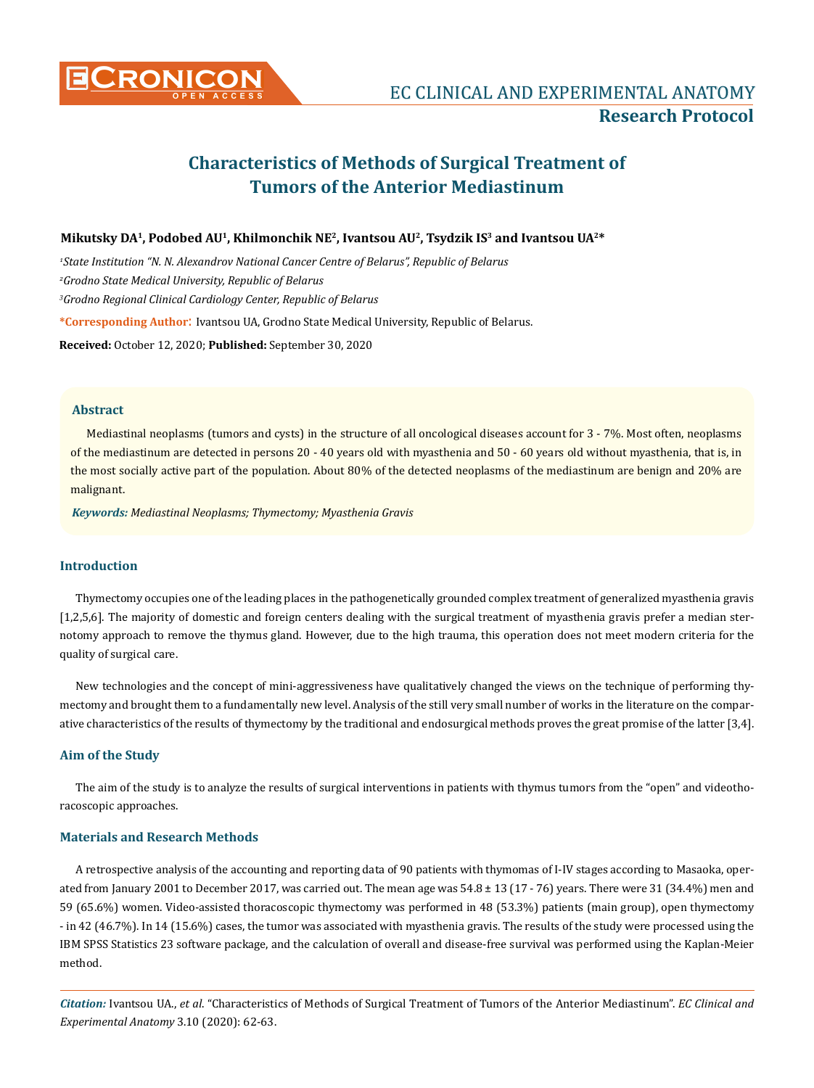

# **Characteristics of Methods of Surgical Treatment of Tumors of the Anterior Mediastinum**

## **Mikutsky DA1, Podobed AU1, Khilmonchik NE2, Ivantsou AU2, Tsydzik IS3 and Ivantsou UA2\***

*1 State Institution "N. N. Alexandrov National Cancer Centre of Belarus", Republic of Belarus 2 Grodno State Medical University, Republic of Belarus 3 Grodno Regional Clinical Cardiology Center, Republic of Belarus* **\*Corresponding Author**: Ivantsou UA, Grodno State Medical University, Republic of Belarus. **Received:** October 12, 2020; **Published:** September 30, 2020

**Abstract**

Mediastinal neoplasms (tumors and cysts) in the structure of all oncological diseases account for 3 - 7%. Most often, neoplasms of the mediastinum are detected in persons 20 - 40 years old with myasthenia and 50 - 60 years old without myasthenia, that is, in the most socially active part of the population. About 80% of the detected neoplasms of the mediastinum are benign and 20% are malignant.

*Keywords: Mediastinal Neoplasms; Thymectomy; Myasthenia Gravis*

#### **Introduction**

Thymectomy occupies one of the leading places in the pathogenetically grounded complex treatment of generalized myasthenia gravis [1,2,5,6]. The majority of domestic and foreign centers dealing with the surgical treatment of myasthenia gravis prefer a median sternotomy approach to remove the thymus gland. However, due to the high trauma, this operation does not meet modern criteria for the quality of surgical care.

New technologies and the concept of mini-aggressiveness have qualitatively changed the views on the technique of performing thymectomy and brought them to a fundamentally new level. Analysis of the still very small number of works in the literature on the comparative characteristics of the results of thymectomy by the traditional and endosurgical methods proves the great promise of the latter [3,4].

#### **Aim of the Study**

The aim of the study is to analyze the results of surgical interventions in patients with thymus tumors from the "open" and videothoracoscopic approaches.

## **Materials and Research Methods**

A retrospective analysis of the accounting and reporting data of 90 patients with thymomas of I-IV stages according to Masaoka, operated from January 2001 to December 2017, was carried out. The mean age was  $54.8 \pm 13$  (17 - 76) years. There were 31 (34.4%) men and 59 (65.6%) women. Video-assisted thoracoscopic thymectomy was performed in 48 (53.3%) patients (main group), open thymectomy - in 42 (46.7%). In 14 (15.6%) cases, the tumor was associated with myasthenia gravis. The results of the study were processed using the IBM SPSS Statistics 23 software package, and the calculation of overall and disease-free survival was performed using the Kaplan-Meier method.

*Citation:* Ivantsou UA., *et al*. "Characteristics of Methods of Surgical Treatment of Tumors of the Anterior Mediastinum". *EC Clinical and Experimental Anatomy* 3.10 (2020): 62-63.